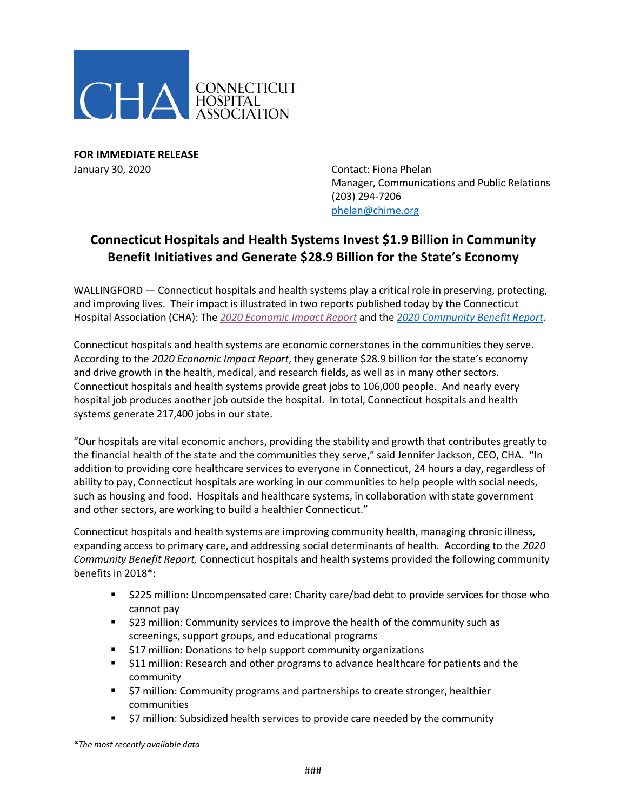

**FOR IMMEDIATE RELEASE**  January 30, 2020 Contact: Fiona Phelan

Manager, Communications and Public Relations (203) 294-7206 [phelan@chime.org](mailto:phelan@chime.org)

## **Connecticut Hospitals and Health Systems Invest \$1.9 Billion in Community Benefit Initiatives and Generate \$28.9 Billion for the State's Economy**

WALLINGFORD — Connecticut hospitals and health systems play a critical role in preserving, protecting, and improving lives. Their impact is illustrated in two reports published today by the Connecticut Hospital Association (CHA): The *2020 [Economic Impact Report](http://documents.cthosp.org/9/Toolkit%202020%20EIR%20FINAL.pdf)* and the *2020 [Community Benefit Report.](http://documents.cthosp.org/9/2020%20CBR%20FINAL.pdf)*

Connecticut hospitals and health systems are economic cornerstones in the communities they serve. According to the *2020 Economic Impact Report*, they generate \$28.9 billion for the state's economy and drive growth in the health, medical, and research fields, as well as in many other sectors. Connecticut hospitals and health systems provide great jobs to 106,000 people. And nearly every hospital job produces another job outside the hospital. In total, Connecticut hospitals and health systems generate 217,400 jobs in our state.

"Our hospitals are vital economic anchors, providing the stability and growth that contributes greatly to the financial health of the state and the communities they serve," said Jennifer Jackson, CEO, CHA. "In addition to providing core healthcare services to everyone in Connecticut, 24 hours a day, regardless of ability to pay, Connecticut hospitals are working in our communities to help people with social needs, such as housing and food. Hospitals and healthcare systems, in collaboration with state government and other sectors, are working to build a healthier Connecticut."

Connecticut hospitals and health systems are improving community health, managing chronic illness, expanding access to primary care, and addressing social determinants of health. According to the *2020 Community Benefit Report,* Connecticut hospitals and health systems provided the following community benefits in 2018\*:

- \$225 million: Uncompensated care: Charity care/bad debt to provide services for those who cannot pay
- **523 million: Community services to improve the health of the community such as** screenings, support groups, and educational programs
- **517 million: Donations to help support community organizations**
- **511 million: Research and other programs to advance healthcare for patients and the** community
- **57 million: Community programs and partnerships to create stronger, healthier** communities
- \$7 million: Subsidized health services to provide care needed by the community